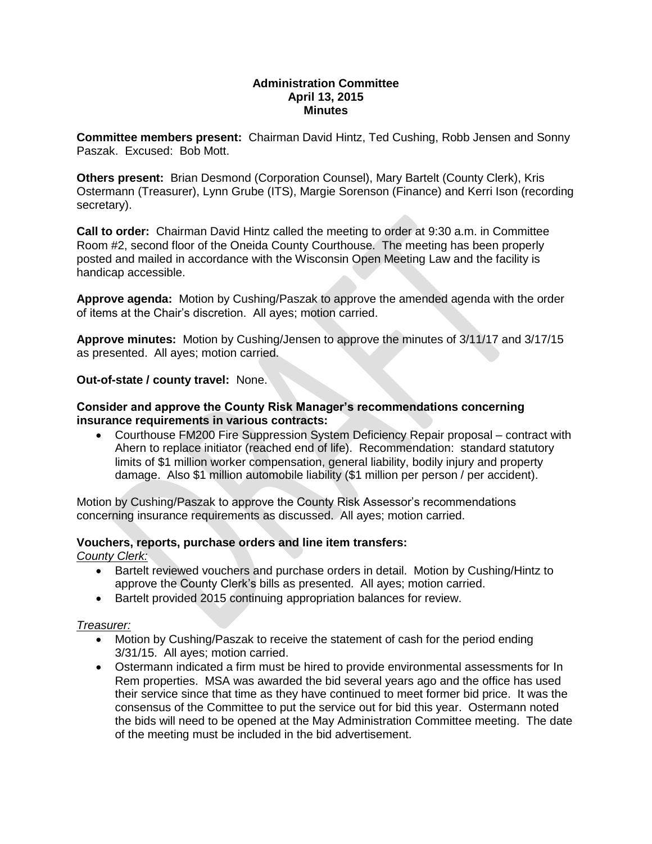## **Administration Committee April 13, 2015 Minutes**

**Committee members present:** Chairman David Hintz, Ted Cushing, Robb Jensen and Sonny Paszak. Excused: Bob Mott.

**Others present:** Brian Desmond (Corporation Counsel), Mary Bartelt (County Clerk), Kris Ostermann (Treasurer), Lynn Grube (ITS), Margie Sorenson (Finance) and Kerri Ison (recording secretary).

**Call to order:** Chairman David Hintz called the meeting to order at 9:30 a.m. in Committee Room #2, second floor of the Oneida County Courthouse. The meeting has been properly posted and mailed in accordance with the Wisconsin Open Meeting Law and the facility is handicap accessible.

**Approve agenda:** Motion by Cushing/Paszak to approve the amended agenda with the order of items at the Chair's discretion. All ayes; motion carried.

**Approve minutes:** Motion by Cushing/Jensen to approve the minutes of 3/11/17 and 3/17/15 as presented. All ayes; motion carried.

**Out-of-state / county travel:** None.

## **Consider and approve the County Risk Manager's recommendations concerning insurance requirements in various contracts:**

 Courthouse FM200 Fire Suppression System Deficiency Repair proposal – contract with Ahern to replace initiator (reached end of life). Recommendation: standard statutory limits of \$1 million worker compensation, general liability, bodily injury and property damage. Also \$1 million automobile liability (\$1 million per person / per accident).

Motion by Cushing/Paszak to approve the County Risk Assessor's recommendations concerning insurance requirements as discussed. All ayes; motion carried.

# **Vouchers, reports, purchase orders and line item transfers:**

*County Clerk:* 

- Bartelt reviewed vouchers and purchase orders in detail. Motion by Cushing/Hintz to approve the County Clerk's bills as presented. All ayes; motion carried.
- Bartelt provided 2015 continuing appropriation balances for review.

#### *Treasurer:*

- Motion by Cushing/Paszak to receive the statement of cash for the period ending 3/31/15. All ayes; motion carried.
- Ostermann indicated a firm must be hired to provide environmental assessments for In Rem properties. MSA was awarded the bid several years ago and the office has used their service since that time as they have continued to meet former bid price. It was the consensus of the Committee to put the service out for bid this year. Ostermann noted the bids will need to be opened at the May Administration Committee meeting. The date of the meeting must be included in the bid advertisement.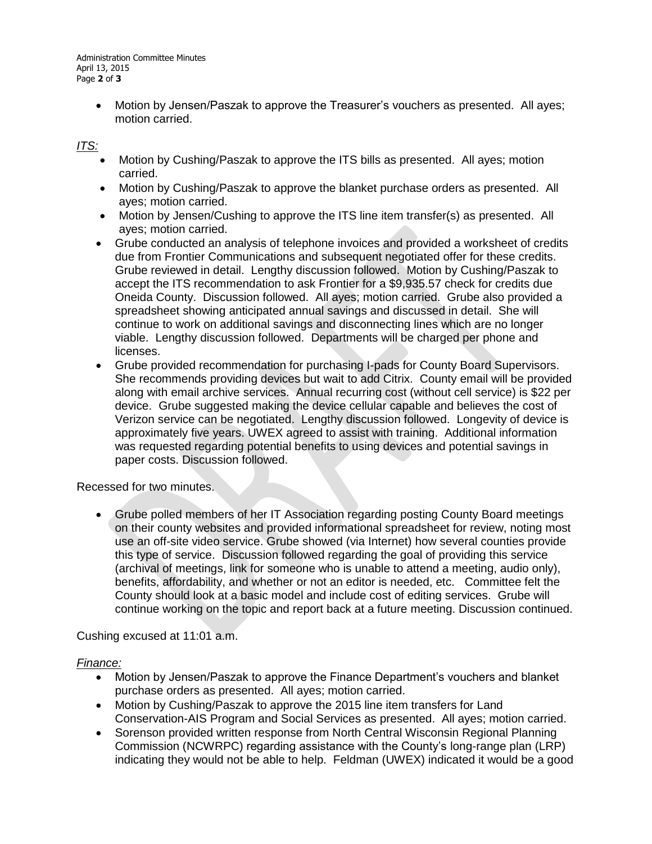Motion by Jensen/Paszak to approve the Treasurer's vouchers as presented. All ayes; motion carried.

# *ITS:*

- Motion by Cushing/Paszak to approve the ITS bills as presented. All ayes; motion carried.
- Motion by Cushing/Paszak to approve the blanket purchase orders as presented. All ayes; motion carried.
- Motion by Jensen/Cushing to approve the ITS line item transfer(s) as presented. All ayes; motion carried.
- Grube conducted an analysis of telephone invoices and provided a worksheet of credits due from Frontier Communications and subsequent negotiated offer for these credits. Grube reviewed in detail. Lengthy discussion followed. Motion by Cushing/Paszak to accept the ITS recommendation to ask Frontier for a \$9,935.57 check for credits due Oneida County. Discussion followed. All ayes; motion carried. Grube also provided a spreadsheet showing anticipated annual savings and discussed in detail. She will continue to work on additional savings and disconnecting lines which are no longer viable. Lengthy discussion followed. Departments will be charged per phone and licenses.
- Grube provided recommendation for purchasing I-pads for County Board Supervisors. She recommends providing devices but wait to add Citrix. County email will be provided along with email archive services. Annual recurring cost (without cell service) is \$22 per device. Grube suggested making the device cellular capable and believes the cost of Verizon service can be negotiated. Lengthy discussion followed. Longevity of device is approximately five years. UWEX agreed to assist with training. Additional information was requested regarding potential benefits to using devices and potential savings in paper costs. Discussion followed.

# Recessed for two minutes.

 Grube polled members of her IT Association regarding posting County Board meetings on their county websites and provided informational spreadsheet for review, noting most use an off-site video service. Grube showed (via Internet) how several counties provide this type of service. Discussion followed regarding the goal of providing this service (archival of meetings, link for someone who is unable to attend a meeting, audio only), benefits, affordability, and whether or not an editor is needed, etc. Committee felt the County should look at a basic model and include cost of editing services. Grube will continue working on the topic and report back at a future meeting. Discussion continued.

Cushing excused at 11:01 a.m.

# *Finance:*

- Motion by Jensen/Paszak to approve the Finance Department's vouchers and blanket purchase orders as presented. All ayes; motion carried.
- Motion by Cushing/Paszak to approve the 2015 line item transfers for Land Conservation-AIS Program and Social Services as presented. All ayes; motion carried.
- Sorenson provided written response from North Central Wisconsin Regional Planning Commission (NCWRPC) regarding assistance with the County's long-range plan (LRP) indicating they would not be able to help. Feldman (UWEX) indicated it would be a good